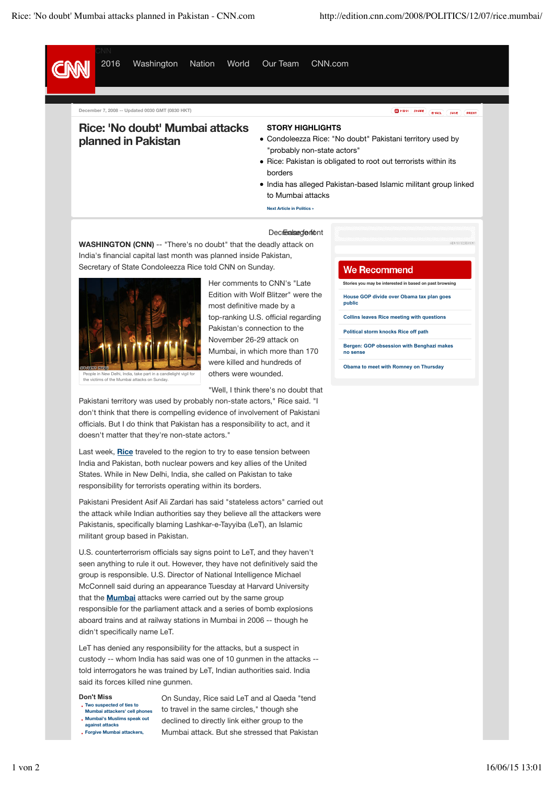

- **Two suspected of ties to**
- **Mumbai attackers' cell phones**
- **Mumbai's Muslims speak out against attacks**
- **Forgive Mumbai attackers,**

On Sunday, Rice said LeT and al Qaeda "tend to travel in the same circles," though she declined to directly link either group to the Mumbai attack. But she stressed that Pakistan